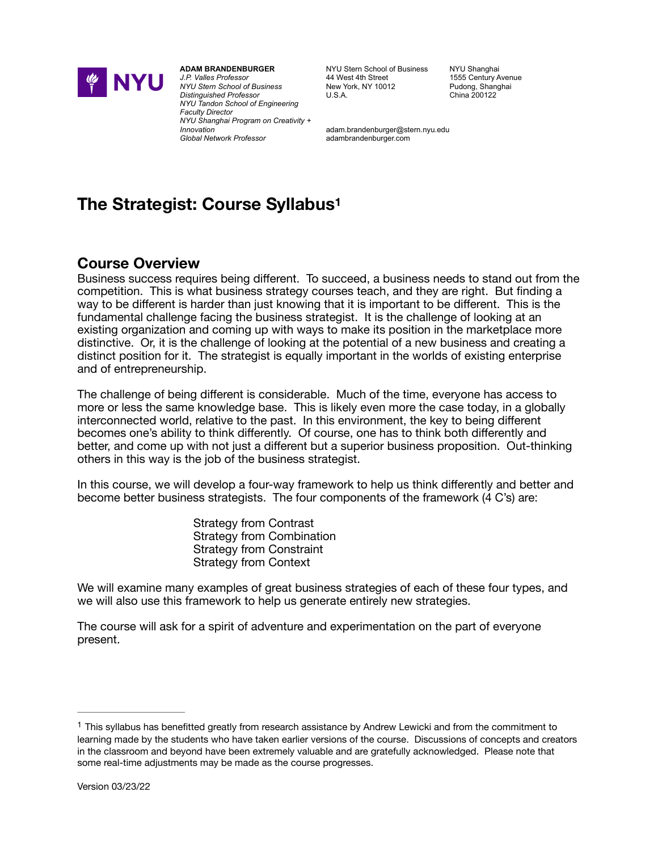

**ADAM BRANDENBURGER** *J.P. Valles Professor NYU Stern School of Business Distinguished Professor NYU Tandon School of Engineering Faculty Director NYU Shanghai Program on Creativity + Innovation Global Network Professor*

NYU Stern School of Business 44 West 4th Street New York, NY 10012  $U.S.A.$ 

NYLI Shanghai 1555 Century Avenue Pudong, Shanghai China 200122

<span id="page-0-1"></span>adam.brandenburger@stern.nyu.edu adambrandenburger.com

# **The Strategist: Course Syllabus[1](#page-0-0)**

# **Course Overview**

Business success requires being different. To succeed, a business needs to stand out from the competition. This is what business strategy courses teach, and they are right. But finding a way to be different is harder than just knowing that it is important to be different. This is the fundamental challenge facing the business strategist. It is the challenge of looking at an existing organization and coming up with ways to make its position in the marketplace more distinctive. Or, it is the challenge of looking at the potential of a new business and creating a distinct position for it. The strategist is equally important in the worlds of existing enterprise and of entrepreneurship.

The challenge of being different is considerable. Much of the time, everyone has access to more or less the same knowledge base. This is likely even more the case today, in a globally interconnected world, relative to the past. In this environment, the key to being different becomes one's ability to think differently. Of course, one has to think both differently and better, and come up with not just a different but a superior business proposition. Out-thinking others in this way is the job of the business strategist.

In this course, we will develop a four-way framework to help us think differently and better and become better business strategists. The four components of the framework (4 C's) are:

> Strategy from Contrast Strategy from Combination Strategy from Constraint Strategy from Context

We will examine many examples of great business strategies of each of these four types, and we will also use this framework to help us generate entirely new strategies.

The course will ask for a spirit of adventure and experimentation on the part of everyone present.

<span id="page-0-0"></span> $1$  This syllabus has benefitted greatly from research assistance by Andrew Lewicki and from the commitment to learning made by the students who have taken earlier versions of the course. Discussions of concepts and creators in the classroom and beyond have been extremely valuable and are gratefully acknowledged. Please note that some real-time adjustments may be made as the course progresses.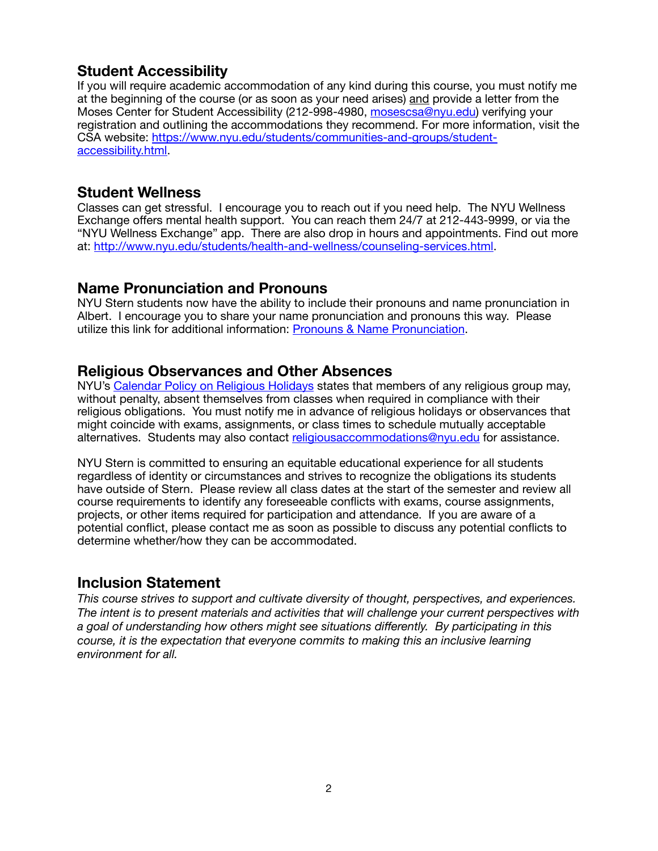# **Student Accessibility**

If you will require academic accommodation of any kind during this course, you must notify me at the beginning of the course (or as soon as your need arises) and provide a letter from the Moses Center for Student Accessibility (212-998-4980, [mosescsa@nyu.edu\)](mailto:mosescsa@nyu.edu) verifying your registration and outlining the accommodations they recommend. For more information, visit the CSA website: [https://www.nyu.edu/students/communities-and-groups/student](https://www.nyu.edu/students/communities-and-groups/student-accessibility.html)[accessibility.html.](https://www.nyu.edu/students/communities-and-groups/student-accessibility.html)

### **Student Wellness**

Classes can get stressful. I encourage you to reach out if you need help. The NYU Wellness Exchange offers mental health support. You can reach them 24/7 at 212-443-9999, or via the "NYU Wellness Exchange" app. There are also drop in hours and appointments. Find out more at: <http://www.nyu.edu/students/health-and-wellness/counseling-services.html>.

# **Name Pronunciation and Pronouns**

NYU Stern students now have the ability to include their pronouns and name pronunciation in Albert. I encourage you to share your name pronunciation and pronouns this way. Please utilize this link for additional information: [Pronouns & Name Pronunciation.](https://www.nyu.edu/students/student-information-and-resources/registration-records-and-graduation/forms-policies-procedures/pronouns-and-name-pronunciation.html)

# **Religious Observances and Other Absences**

NYU's [Calendar Policy on Religious Holidays](https://www.nyu.edu/about/policies-guidelines-compliance/policies-and-guidelines/university-calendar-policy-on-religious-holidays.html) states that members of any religious group may, without penalty, absent themselves from classes when required in compliance with their religious obligations. You must notify me in advance of religious holidays or observances that might coincide with exams, assignments, or class times to schedule mutually acceptable alternatives. Students may also contact [religiousaccommodations@nyu.edu](mailto:religiousaccommodations@nyu.edu) for assistance.

NYU Stern is committed to ensuring an equitable educational experience for all students regardless of identity or circumstances and strives to recognize the obligations its students have outside of Stern. Please review all class dates at the start of the semester and review all course requirements to identify any foreseeable conflicts with exams, course assignments, projects, or other items required for participation and attendance. If you are aware of a potential conflict, please contact me as soon as possible to discuss any potential conflicts to determine whether/how they can be accommodated.

# **Inclusion Statement**

*This course strives to support and cultivate diversity of thought, perspectives, and experiences. The intent is to present materials and activities that will challenge your current perspectives with a goal of understanding how others might see situations differently. By participating in this course, it is the expectation that everyone commits to making this an inclusive learning environment for all.*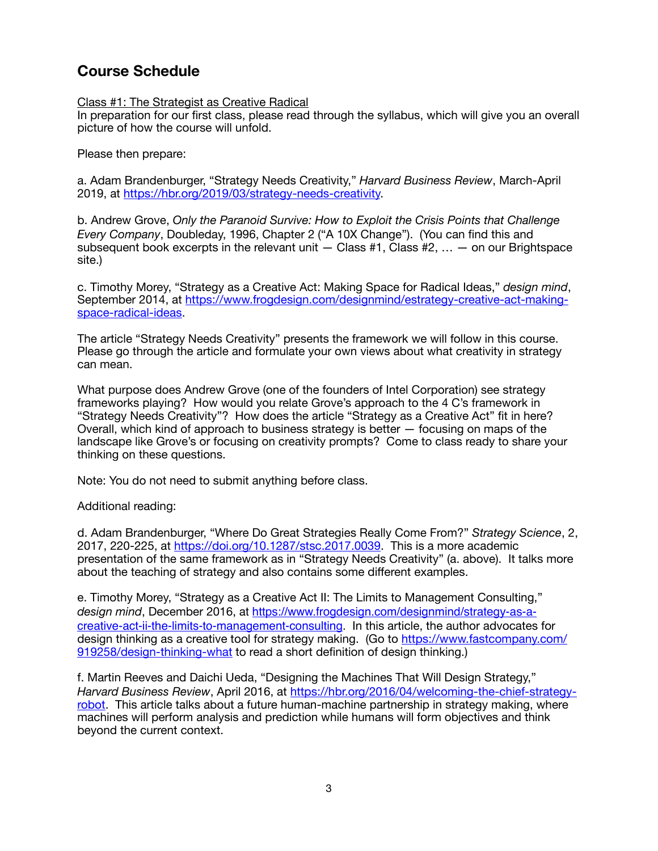# **Course Schedule**

### Class #1: The Strategist as Creative Radical

In preparation for our first class, please read through the syllabus, which will give you an overall picture of how the course will unfold.

Please then prepare:

a. Adam Brandenburger, "Strategy Needs Creativity," *Harvard Business Review*, March-April 2019, at [https://hbr.org/2019/03/strategy-needs-creativity.](https://hbr.org/2019/03/strategy-needs-creativity)

b. Andrew Grove, *Only the Paranoid Survive: How to Exploit the Crisis Points that Challenge Every Company*, Doubleday, 1996, Chapter 2 ("A 10X Change"). (You can find this and subsequent book excerpts in the relevant unit  $-$  Class #1, Class #2,  $\dots$   $-$  on our Brightspace site.)

c. Timothy Morey, "Strategy as a Creative Act: Making Space for Radical Ideas," *design mind*, September 2014, at [https://www.frogdesign.com/designmind/estrategy-creative-act-making](https://www.frogdesign.com/designmind/estrategy-creative-act-making-space-radical-ideas)[space-radical-ideas](https://www.frogdesign.com/designmind/estrategy-creative-act-making-space-radical-ideas).

The article "Strategy Needs Creativity" presents the framework we will follow in this course. Please go through the article and formulate your own views about what creativity in strategy can mean.

What purpose does Andrew Grove (one of the founders of Intel Corporation) see strategy frameworks playing? How would you relate Grove's approach to the 4 C's framework in "Strategy Needs Creativity"? How does the article "Strategy as a Creative Act" fit in here? Overall, which kind of approach to business strategy is better — focusing on maps of the landscape like Grove's or focusing on creativity prompts? Come to class ready to share your thinking on these questions.

Note: You do not need to submit anything before class.

### Additional reading:

d. Adam Brandenburger, "Where Do Great Strategies Really Come From?" *Strategy Science*, 2, 2017, 220-225, at<https://doi.org/10.1287/stsc.2017.0039>. This is a more academic presentation of the same framework as in "Strategy Needs Creativity" (a. above). It talks more about the teaching of strategy and also contains some different examples.

e. Timothy Morey, "Strategy as a Creative Act II: The Limits to Management Consulting," *design mind*, December 2016, a[t https://www.frogdesign.com/designmind/strategy-as-a](https://www.frogdesign.com/designmind/strategy-as-a-creative-act-ii-the-limits-to-management-consulting)[creative-act-ii-the-limits-to-management-consulting.](https://www.frogdesign.com/designmind/strategy-as-a-creative-act-ii-the-limits-to-management-consulting) In this article, the author advocates for design thinking as a creative tool for strategy making. (Go to [https://www.fastcompany.com/](https://www.fastcompany.com/919258/design-thinking-what) [919258/design-thinking-what](https://www.fastcompany.com/919258/design-thinking-what) to read a short definition of design thinking.)

f. Martin Reeves and Daichi Ueda, "Designing the Machines That Will Design Strategy," *Harvard Business Review*, April 2016, at [https://hbr.org/2016/04/welcoming-the-chief-strategy](https://hbr.org/2016/04/welcoming-the-chief-strategy-robot)[robot](https://hbr.org/2016/04/welcoming-the-chief-strategy-robot). This article talks about a future human-machine partnership in strategy making, where machines will perform analysis and prediction while humans will form objectives and think beyond the current context.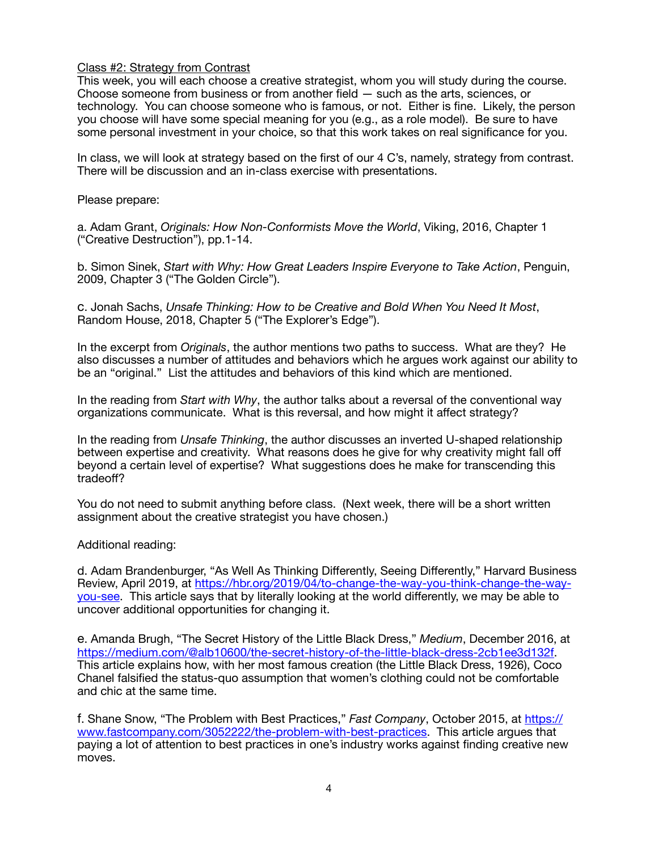### Class #2: Strategy from Contrast

This week, you will each choose a creative strategist, whom you will study during the course. Choose someone from business or from another field — such as the arts, sciences, or technology. You can choose someone who is famous, or not. Either is fine. Likely, the person you choose will have some special meaning for you (e.g., as a role model). Be sure to have some personal investment in your choice, so that this work takes on real significance for you.

In class, we will look at strategy based on the first of our 4 C's, namely, strategy from contrast. There will be discussion and an in-class exercise with presentations.

### Please prepare:

a. Adam Grant, *Originals: How Non-Conformists Move the World*, Viking, 2016, Chapter 1 ("Creative Destruction"), pp.1-14.

b. Simon Sinek, *Start with Why: How Great Leaders Inspire Everyone to Take Action*, Penguin, 2009, Chapter 3 ("The Golden Circle").

c. Jonah Sachs, *Unsafe Thinking: How to be Creative and Bold When You Need It Most*, Random House, 2018, Chapter 5 ("The Explorer's Edge").

In the excerpt from *Originals*, the author mentions two paths to success. What are they? He also discusses a number of attitudes and behaviors which he argues work against our ability to be an "original." List the attitudes and behaviors of this kind which are mentioned.

In the reading from *Start with Why*, the author talks about a reversal of the conventional way organizations communicate. What is this reversal, and how might it affect strategy?

In the reading from *Unsafe Thinking*, the author discusses an inverted U-shaped relationship between expertise and creativity. What reasons does he give for why creativity might fall off beyond a certain level of expertise? What suggestions does he make for transcending this tradeoff?

You do not need to submit anything before class. (Next week, there will be a short written assignment about the creative strategist you have chosen.)

### Additional reading:

d. Adam Brandenburger, "As Well As Thinking Differently, Seeing Differently," Harvard Business Review, April 2019, at [https://hbr.org/2019/04/to-change-the-way-you-think-change-the-way](https://hbr.org/2019/04/to-change-the-way-you-think-change-the-way-you-see)[you-see.](https://hbr.org/2019/04/to-change-the-way-you-think-change-the-way-you-see) This article says that by literally looking at the world differently, we may be able to uncover additional opportunities for changing it.

e. Amanda Brugh, "The Secret History of the Little Black Dress," *Medium*, December 2016, at [https://medium.com/@alb10600/the-secret-history-of-the-little-black-dress-2cb1ee3d132f.](https://medium.com/@alb10600/the-secret-history-of-the-little-black-dress-2cb1ee3d132f) This article explains how, with her most famous creation (the Little Black Dress, 1926), Coco Chanel falsified the status-quo assumption that women's clothing could not be comfortable and chic at the same time.

f. Shane Snow, "The Problem with Best Practices," *Fast Company*, October 2015, at [https://](https://www.fastcompany.com/3052222/the-problem-with-best-practices) [www.fastcompany.com/3052222/the-problem-with-best-practices](https://www.fastcompany.com/3052222/the-problem-with-best-practices). This article argues that paying a lot of attention to best practices in one's industry works against finding creative new moves.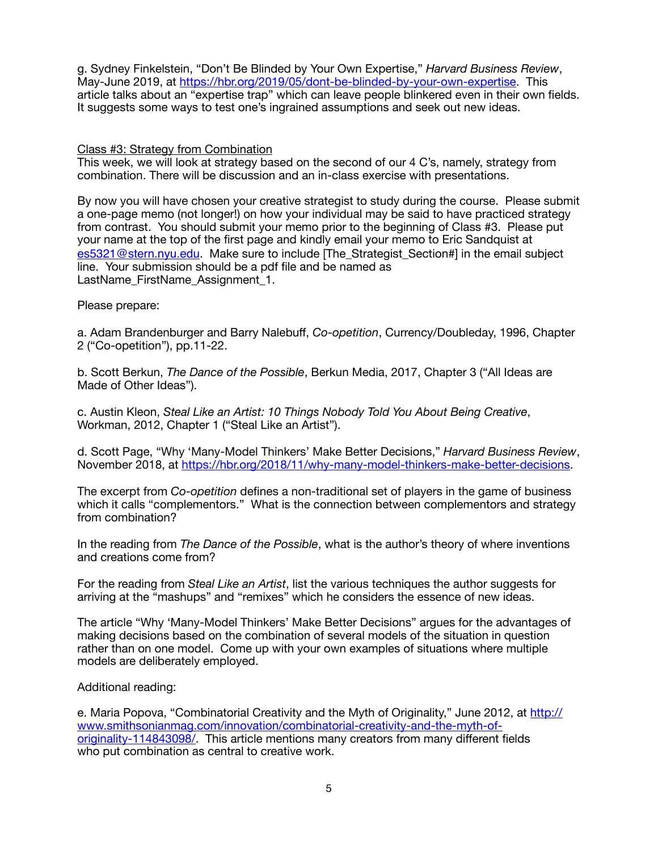g. Sydney Finkelstein, "Don't Be Blinded by Your Own Expertise," *Harvard Business Review*, May-June 2019, at<https://hbr.org/2019/05/dont-be-blinded-by-your-own-expertise>. This article talks about an "expertise trap" which can leave people blinkered even in their own fields. It suggests some ways to test one's ingrained assumptions and seek out new ideas.

Class #3: Strategy from Combination

This week, we will look at strategy based on the second of our 4 C's, namely, strategy from combination. There will be discussion and an in-class exercise with presentations.

By now you will have chosen your creative strategist to study during the course. Please submit a one-page memo (not longer!) on how your individual may be said to have practiced strategy from contrast. You should submit your memo prior to the beginning of Class #3. Please put your name at the top of the first page and kindly email your memo to Eric Sandquist at [es5321@stern.nyu.edu](mailto:es5321@stern.nyu.edu). Make sure to include [The Strategist Section#] in the email subject line. Your submission should be a pdf file and be named as LastName FirstName Assignment 1.

Please prepare:

a. Adam Brandenburger and Barry Nalebuff, *Co-opetition*, Currency/Doubleday, 1996, Chapter 2 ("Co-opetition"), pp.11-22.

b. Scott Berkun, *The Dance of the Possible*, Berkun Media, 2017, Chapter 3 ("All Ideas are Made of Other Ideas").

c. Austin Kleon, *Steal Like an Artist: 10 Things Nobody Told You About Being Creative*, Workman, 2012, Chapter 1 ("Steal Like an Artist").

d. Scott Page, "Why 'Many-Model Thinkers' Make Better Decisions," *Harvard Business Review*, November 2018, at [https://hbr.org/2018/11/why-many-model-thinkers-make-better-decisions.](https://hbr.org/2018/11/why-many-model-thinkers-make-better-decisions)

The excerpt from *Co-opetition* defines a non-traditional set of players in the game of business which it calls "complementors." What is the connection between complementors and strategy from combination?

In the reading from *The Dance of the Possible*, what is the author's theory of where inventions and creations come from?

For the reading from *Steal Like an Artist*, list the various techniques the author suggests for arriving at the "mashups" and "remixes" which he considers the essence of new ideas.

The article "Why 'Many-Model Thinkers' Make Better Decisions" argues for the advantages of making decisions based on the combination of several models of the situation in question rather than on one model. Come up with your own examples of situations where multiple models are deliberately employed.

Additional reading:

e. Maria Popova, "Combinatorial Creativity and the Myth of Originality," June 2012, at [http://](http://www.smithsonianmag.com/innovation/combinatorial-creativity-and-the-myth-of-originality-114843098/) [www.smithsonianmag.com/innovation/combinatorial-creativity-and-the-myth-of](http://www.smithsonianmag.com/innovation/combinatorial-creativity-and-the-myth-of-originality-114843098/)[originality-114843098/](http://www.smithsonianmag.com/innovation/combinatorial-creativity-and-the-myth-of-originality-114843098/). This article mentions many creators from many different fields who put combination as central to creative work.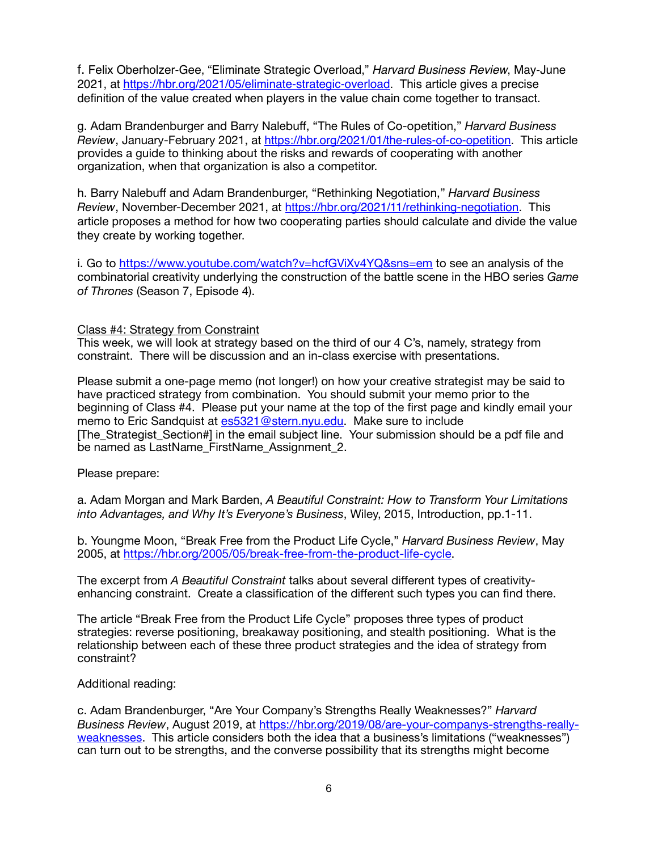f. Felix Oberholzer-Gee, "Eliminate Strategic Overload," *Harvard Business Review*, May-June 2021, at <https://hbr.org/2021/05/eliminate-strategic-overload>. This article gives a precise definition of the value created when players in the value chain come together to transact.

g. Adam Brandenburger and Barry Nalebuff, "The Rules of Co-opetition," *Harvard Business Review*, January-February 2021, at [https://hbr.org/2021/01/the-rules-of-co-opetition.](https://hbr.org/2021/01/the-rules-of-co-opetition) This article provides a guide to thinking about the risks and rewards of cooperating with another organization, when that organization is also a competitor.

h. Barry Nalebuff and Adam Brandenburger, "Rethinking Negotiation," *Harvard Business Review*, November-December 2021, at [https://hbr.org/2021/11/rethinking-negotiation.](https://hbr.org/2021/11/rethinking-negotiation) This article proposes a method for how two cooperating parties should calculate and divide the value they create by working together.

i. Go to<https://www.youtube.com/watch?v=hcfGViXv4YQ&sns=em>to see an analysis of the combinatorial creativity underlying the construction of the battle scene in the HBO series *Game of Thrones* (Season 7, Episode 4).

### Class #4: Strategy from Constraint

This week, we will look at strategy based on the third of our 4 C's, namely, strategy from constraint. There will be discussion and an in-class exercise with presentations.

Please submit a one-page memo (not longer!) on how your creative strategist may be said to have practiced strategy from combination. You should submit your memo prior to the beginning of Class #4. Please put your name at the top of the first page and kindly email your memo to Eric Sandquist at [es5321@stern.nyu.edu](mailto:es5321@stern.nyu.edu). Make sure to include [The Strategist Section#] in the email subject line. Your submission should be a pdf file and be named as LastName\_FirstName\_Assignment\_2.

Please prepare:

a. Adam Morgan and Mark Barden, *A Beautiful Constraint: How to Transform Your Limitations into Advantages, and Why It's Everyone's Business*, Wiley, 2015, Introduction, pp.1-11.

b. Youngme Moon, "Break Free from the Product Life Cycle," *Harvard Business Review*, May 2005, at<https://hbr.org/2005/05/break-free-from-the-product-life-cycle>.

The excerpt from *A Beautiful Constraint* talks about several different types of creativityenhancing constraint. Create a classification of the different such types you can find there.

The article "Break Free from the Product Life Cycle" proposes three types of product strategies: reverse positioning, breakaway positioning, and stealth positioning. What is the relationship between each of these three product strategies and the idea of strategy from constraint?

Additional reading:

c. Adam Brandenburger, "Are Your Company's Strengths Really Weaknesses?" *Harvard Business Review*, August 2019, at [https://hbr.org/2019/08/are-your-companys-strengths-really](https://hbr.org/2019/08/are-your-companys-strengths-really-weaknesses)[weaknesses](https://hbr.org/2019/08/are-your-companys-strengths-really-weaknesses)</u>. This article considers both the idea that a business's limitations ("weaknesses") can turn out to be strengths, and the converse possibility that its strengths might become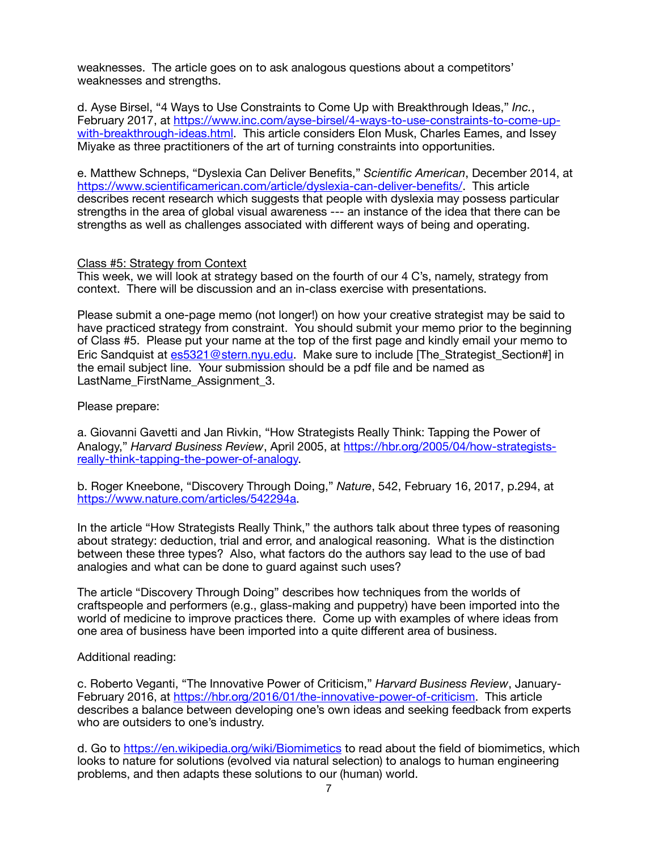weaknesses. The article goes on to ask analogous questions about a competitors' weaknesses and strengths.

d. Ayse Birsel, "4 Ways to Use Constraints to Come Up with Breakthrough Ideas," *Inc.*, February 2017, at [https://www.inc.com/ayse-birsel/4-ways-to-use-constraints-to-come-up](https://www.inc.com/ayse-birsel/4-ways-to-use-constraints-to-come-up-with-breakthrough-ideas.html)with-breakthrough-ideas.html. This article considers Elon Musk, Charles Eames, and Issey Miyake as three practitioners of the art of turning constraints into opportunities.

e. Matthew Schneps, "Dyslexia Can Deliver Benefits," *Scientific American*, December 2014, at <https://www.scientificamerican.com/article/dyslexia-can-deliver-benefits/>. This article describes recent research which suggests that people with dyslexia may possess particular strengths in the area of global visual awareness --- an instance of the idea that there can be strengths as well as challenges associated with different ways of being and operating.

#### Class #5: Strategy from Context

This week, we will look at strategy based on the fourth of our 4 C's, namely, strategy from context. There will be discussion and an in-class exercise with presentations.

Please submit a one-page memo (not longer!) on how your creative strategist may be said to have practiced strategy from constraint. You should submit your memo prior to the beginning of Class #5. Please put your name at the top of the first page and kindly email your memo to Eric Sandquist at [es5321@stern.nyu.edu](mailto:es5321@stern.nyu.edu). Make sure to include [The Strategist Section#] in the email subject line. Your submission should be a pdf file and be named as LastName\_FirstName\_Assignment\_3.

Please prepare:

a. Giovanni Gavetti and Jan Rivkin, "How Strategists Really Think: Tapping the Power of Analogy," *Harvard Business Review*, April 2005, at [https://hbr.org/2005/04/how-strategists](https://hbr.org/2005/04/how-strategists-really-think-tapping-the-power-of-analogy)[really-think-tapping-the-power-of-analogy.](https://hbr.org/2005/04/how-strategists-really-think-tapping-the-power-of-analogy)

b. Roger Kneebone, "Discovery Through Doing," *Nature*, 542, February 16, 2017, p.294, at [https://www.nature.com/articles/542294a.](https://www.nature.com/articles/542294a)

In the article "How Strategists Really Think," the authors talk about three types of reasoning about strategy: deduction, trial and error, and analogical reasoning. What is the distinction between these three types? Also, what factors do the authors say lead to the use of bad analogies and what can be done to guard against such uses?

The article "Discovery Through Doing" describes how techniques from the worlds of craftspeople and performers (e.g., glass-making and puppetry) have been imported into the world of medicine to improve practices there. Come up with examples of where ideas from one area of business have been imported into a quite different area of business.

### Additional reading:

c. Roberto Veganti, "The Innovative Power of Criticism," *Harvard Business Review*, January-February 2016, at <https://hbr.org/2016/01/the-innovative-power-of-criticism>. This article describes a balance between developing one's own ideas and seeking feedback from experts who are outsiders to one's industry.

d. Go to<https://en.wikipedia.org/wiki/Biomimetics>to read about the field of biomimetics, which looks to nature for solutions (evolved via natural selection) to analogs to human engineering problems, and then adapts these solutions to our (human) world.